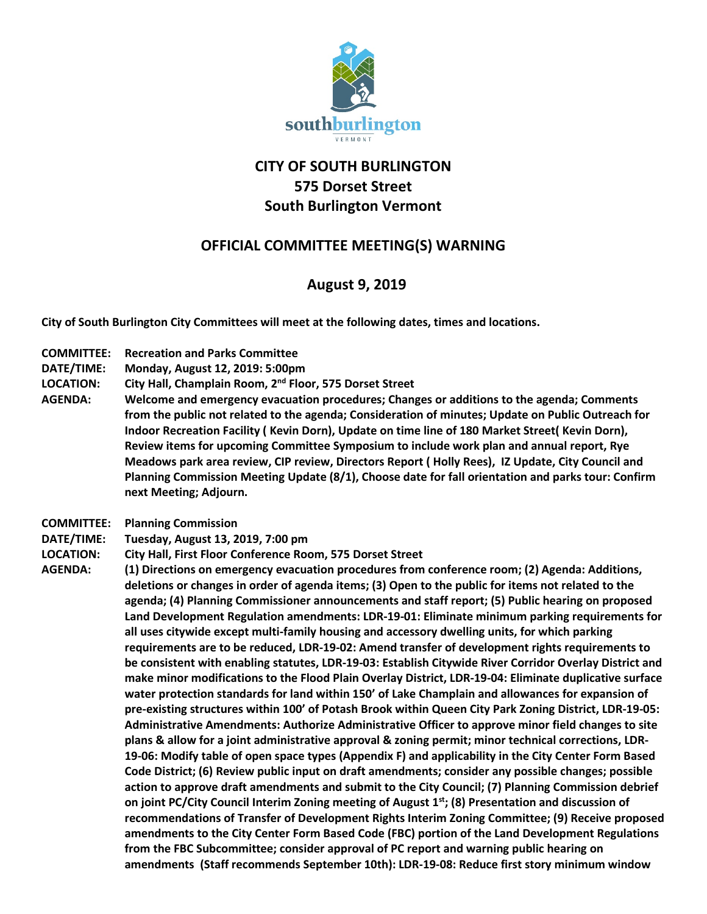

## **CITY OF SOUTH BURLINGTON 575 Dorset Street South Burlington Vermont**

## **OFFICIAL COMMITTEE MEETING(S) WARNING**

## **August 9, 2019**

**City of South Burlington City Committees will meet at the following dates, times and locations.** 

- **COMMITTEE: Recreation and Parks Committee**
- **DATE/TIME: Monday, August 12, 2019: 5:00pm**
- **LOCATION: City Hall, Champlain Room, 2nd Floor, 575 Dorset Street**
- **AGENDA: Welcome and emergency evacuation procedures; Changes or additions to the agenda; Comments from the public not related to the agenda; Consideration of minutes; Update on Public Outreach for Indoor Recreation Facility ( Kevin Dorn), Update on time line of 180 Market Street( Kevin Dorn), Review items for upcoming Committee Symposium to include work plan and annual report, Rye Meadows park area review, CIP review, Directors Report ( Holly Rees), IZ Update, City Council and Planning Commission Meeting Update (8/1), Choose date for fall orientation and parks tour: Confirm next Meeting; Adjourn.**
- **COMMITTEE: Planning Commission**
- **DATE/TIME: Tuesday, August 13, 2019, 7:00 pm**
- **LOCATION: City Hall, First Floor Conference Room, 575 Dorset Street**
- **AGENDA: (1) Directions on emergency evacuation procedures from conference room; (2) Agenda: Additions, deletions or changes in order of agenda items; (3) Open to the public for items not related to the agenda; (4) Planning Commissioner announcements and staff report; (5) Public hearing on proposed Land Development Regulation amendments: LDR-19-01: Eliminate minimum parking requirements for all uses citywide except multi-family housing and accessory dwelling units, for which parking requirements are to be reduced, LDR-19-02: Amend transfer of development rights requirements to be consistent with enabling statutes, LDR-19-03: Establish Citywide River Corridor Overlay District and make minor modifications to the Flood Plain Overlay District, LDR-19-04: Eliminate duplicative surface water protection standards for land within 150' of Lake Champlain and allowances for expansion of pre-existing structures within 100' of Potash Brook within Queen City Park Zoning District, LDR-19-05: Administrative Amendments: Authorize Administrative Officer to approve minor field changes to site plans & allow for a joint administrative approval & zoning permit; minor technical corrections, LDR-19-06: Modify table of open space types (Appendix F) and applicability in the City Center Form Based Code District; (6) Review public input on draft amendments; consider any possible changes; possible action to approve draft amendments and submit to the City Council; (7) Planning Commission debrief**  on joint PC/City Council Interim Zoning meeting of August 1<sup>st</sup>; (8) Presentation and discussion of **recommendations of Transfer of Development Rights Interim Zoning Committee; (9) Receive proposed amendments to the City Center Form Based Code (FBC) portion of the Land Development Regulations from the FBC Subcommittee; consider approval of PC report and warning public hearing on amendments (Staff recommends September 10th): LDR-19-08: Reduce first story minimum window**